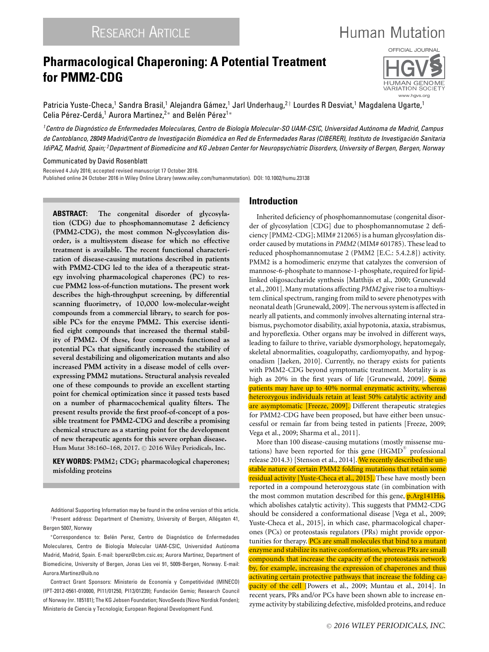# **Pharmacological Chaperoning: A Potential Treatment for PMM2-CDG**



**Human Mutation** 

Patricia Yuste-Checa,<sup>1</sup> Sandra Brasil,<sup>1</sup> Alejandra Gámez,<sup>1</sup> Jarl Underhaug,<sup>2†</sup> Lourdes R Desviat,<sup>1</sup> Magdalena Ugarte,<sup>1</sup> Celia Pérez-Cerdá,<sup>1</sup> Aurora Martinez,<sup>2</sup><sup>\*</sup> and Belén Pérez<sup>1</sup><sup>\*</sup>

<sup>1</sup> Centro de Diagnóstico de Enfermedades Moleculares, Centro de Biología Molecular-SO UAM-CSIC, Universidad Autónoma de Madrid, Campus *de Cantoblanco, 28049 Madrid/Centro de Investigacion Biom ´ edica en Red de Enfermedades Raras (CIBERER), Instituto de Investigaci ´ on Sanitaria ´ IdiPAZ, Madrid, Spain; 2Department of Biomedicine and KG Jebsen Center for Neuropsychiatric Disorders, University of Bergen, Bergen, Norway*

Communicated by David Rosenblatt

Received 4 July 2016; accepted revised manuscript 17 October 2016. Published online 24 October 2016 in Wiley Online Library (www.wiley.com/humanmutation). DOI: 10.1002/humu.23138

**ABSTRACT: The congenital disorder of glycosylation (CDG) due to phosphomannomutase 2 deficiency (PMM2-CDG), the most common N-glycosylation disorder, is a multisystem disease for which no effective treatment is available. The recent functional characterization of disease-causing mutations described in patients with PMM2-CDG led to the idea of a therapeutic strategy involving pharmacological chaperones (PC) to rescue PMM2 loss-of-function mutations. The present work describes the high-throughput screening, by differential scanning fluorimetry, of 10,000 low-molecular-weight compounds from a commercial library, to search for possible PCs for the enzyme PMM2. This exercise identified eight compounds that increased the thermal stability of PMM2. Of these, four compounds functioned as potential PCs that significantly increased the stability of several destabilizing and oligomerization mutants and also increased PMM activity in a disease model of cells overexpressing PMM2 mutations. Structural analysis revealed one of these compounds to provide an excellent starting point for chemical optimization since it passed tests based on a number of pharmacochemical quality filters. The present results provide the first proof-of-concept of a possible treatment for PMM2-CDG and describe a promising chemical structure as a starting point for the development of new therapeutic agents for this severe orphan disease. Hum Mutat 38:160–168, 2017.** <sup>C</sup> **2016 Wiley Periodicals, Inc.**

**KEY WORDS: PMM2; CDG; pharmacological chaperones; misfolding proteins**

Additional Supporting Information may be found in the online version of this article. <sup>†</sup>Present address: Department of Chemistry, University of Bergen, Allégaten 41, Bergen 5007, Norway

\*Correspondence to: Belén Perez, Centro de Diagnóstico de Enfermedades Moleculares, Centro de Biología Molecular UAM-CSIC, Universidad Autónoma Madrid, Madrid, Spain. E-mail: bperez@cbm.csic.es; Aurora Martinez, Department of Biomedicine, University of Bergen, Jonas Lies vei 91, 5009-Bergen, Norway. E-mail: Aurora.Martinez@uib.no

Contract Grant Sponsors: Ministerio de Economía y Competitividad (MINECO) (IPT-2012-0561-010000, PI11/01250, PI13/01239); Fundacion Gemio; Research Council ´ of Norway (nr. 185181); The KG Jebsen Foundation; NovoSeeds (Novo Nordisk Fonden); Ministerio de Ciencia y Tecnología; European Regional Development Fund.

# **Introduction**

Inherited deficiency of phosphomannomutase (congenital disorder of glycosylation [CDG] due to phosphomannomutase 2 deficiency [PMM2-CDG]; MIM# 212065) is a human glycosylation disorder caused by mutations in *PMM2* (MIM# 601785). These lead to reduced phosphomannomutase 2 (PMM2 [E.C.: 5.4.2.8]) activity. PMM2 is a homodimeric enzyme that catalyzes the conversion of mannose-6-phosphate to mannose-1-phosphate, required for lipidlinked oligosaccharide synthesis [Matthijs et al., 2000; Grunewald et al., 2001]. Many mutations affecting *PMM2* give rise to a multisystem clinical spectrum, ranging from mild to severe phenotypes with neonatal death [Grunewald, 2009]. The nervous system is affected in nearly all patients, and commonly involves alternating internal strabismus, psychomotor disability, axial hypotonia, ataxia, strabismus, and hyporeflexia. Other organs may be involved in different ways, leading to failure to thrive, variable dysmorphology, hepatomegaly, skeletal abnormalities, coagulopathy, cardiomyopathy, and hypogonadism [Jaeken, 2010]. Currently, no therapy exists for patients with PMM2-CDG beyond symptomatic treatment. Mortality is as high as 20% in the first years of life [Grunewald, 2009]. Some patients may have up to 40% normal enzymatic activity, whereas heterozygous individuals retain at least 50% catalytic activity and are asymptomatic [Freeze, 2009]. Different therapeutic strategies for PMM2-CDG have been proposed, but have either been unsuccessful or remain far from being tested in patients [Freeze, 2009; Vega et al., 2009; Sharma et al., 2011].

More than 100 disease-causing mutations (mostly missense mutations) have been reported for this gene  $(HGMD^{\circledast})$  professional release 2014.3) [Stenson et al., 2014]. We recently described the unstable nature of certain PMM2 folding mutations that retain some residual activity [Yuste-Checa et al., 2015]. These have mostly been reported in a compound heterozygous state (in combination with the most common mutation described for this gene, p.Arg141His, which abolishes catalytic activity). This suggests that PMM2-CDG should be considered a conformational disease [Vega et al., 2009; Yuste-Checa et al., 2015], in which case, pharmacological chaperones (PCs) or proteostasis regulators (PRs) might provide opportunities for therapy. PCs are small molecules that bind to a mutant enzyme and stabilize its native conformation, whereas PRs are small compounds that increase the capacity of the proteostasis network by, for example, increasing the expression of chaperones and thus activating certain protective pathways that increase the folding capacity of the cell [Powers et al., 2009; Muntau et al., 2014]. In recent years, PRs and/or PCs have been shown able to increase enzyme activity by stabilizing defective, misfolded proteins, and reduce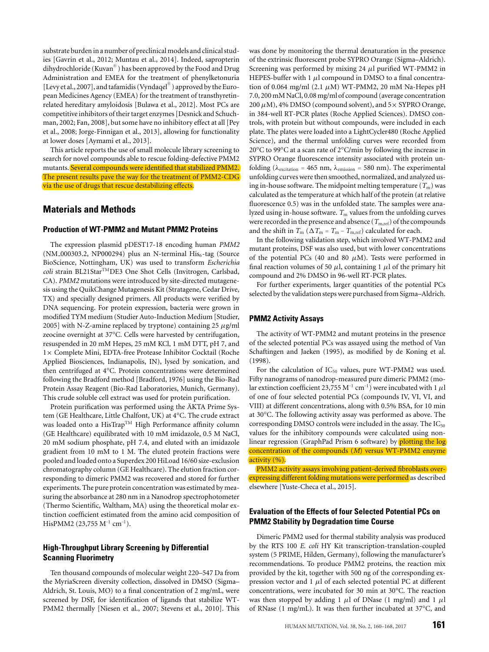substrate burden in a number of preclinical models and clinical studies [Gavrin et al., 2012; Muntau et al., 2014]. Indeed, sapropterin dihydrochloride (Kuvan®) has been approved by the Food and Drug Administration and EMEA for the treatment of phenylketonuria [Levy et al., 2007], and tafamidis (Vyndaqel®) approved by the European Medicines Agency (EMEA) for the treatment of transthyretinrelated hereditary amyloidosis [Bulawa et al., 2012]. Most PCs are competitive inhibitors of their target enzymes [Desnick and Schuchman, 2002; Fan, 2008], but some have no inhibitory effect at all [Pey et al., 2008; Jorge-Finnigan et al., 2013], allowing for functionality at lower doses [Aymami et al., 2013].

This article reports the use of small molecule library screening to search for novel compounds able to rescue folding-defective PMM2 mutants. Several compounds were identified that stabilized PMM2. The present results pave the way for the treatment of PMM2-CDG via the use of drugs that rescue destabilizing effects.

# **Materials and Methods**

#### **Production of WT-PMM2 and Mutant PMM2 Proteins**

The expression plasmid pDEST17-18 encoding human *PMM2*  $(NM_000303.2, NP000294)$  plus an N-terminal His<sub>6</sub>-tag (Source BioScience, Nottingham, UK) was used to transform *Escherichia coli* strain BL21StarTMDE3 One Shot Cells (Invitrogen, Carlsbad, CA). *PMM2* mutations were introduced by site-directed mutagenesis using the QuikChange Mutagenesis Kit (Stratagene, Cedar Drive, TX) and specially designed primers. All products were verified by DNA sequencing. For protein expression, bacteria were grown in modified TYM medium (Studier Auto-Induction Medium [Studier, 2005] with N-Z-amine replaced by tryptone) containing 25  $\mu$ g/ml zeocine overnight at 37°C. Cells were harvested by centrifugation, resuspended in 20 mM Hepes, 25 mM KCl, 1 mM DTT, pH 7, and 1× Complete Mini, EDTA-free Protease Inhibitor Cocktail (Roche Applied Biosciences, Indianapolis, IN), lysed by sonication, and then centrifuged at 4°C. Protein concentrations were determined following the Bradford method [Bradford, 1976] using the Bio-Rad Protein Assay Reagent (Bio-Rad Laboratories, Munich, Germany). This crude soluble cell extract was used for protein purification.

Protein purification was performed using the ÄKTA Prime System (GE Healthcare, Little Chalfont, UK) at 4°C. The crude extract was loaded onto a HisTrap<sup>TM</sup> High Performance affinity column (GE Healthcare) equilibrated with 10 mM imidazole, 0.5 M NaCl, 20 mM sodium phosphate, pH 7.4, and eluted with an imidazole gradient from 10 mM to 1 M. The eluted protein fractions were pooled and loaded onto a Superdex 200 HiLoad 16/60 size-exclusion chromatography column (GE Healthcare). The elution fraction corresponding to dimeric PMM2 was recovered and stored for further experiments. The pure protein concentration was estimated by measuring the absorbance at 280 nm in a Nanodrop spectrophotometer (Thermo Scientific, Waltham, MA) using the theoretical molar extinction coefficient estimated from the amino acid composition of HisPMM2 (23,755  $M^{-1}$  cm<sup>-1</sup>).

# **High-Throughput Library Screening by Differential Scanning Fluorimetry**

Ten thousand compounds of molecular weight 220–547 Da from the MyriaScreen diversity collection, dissolved in DMSO (Sigma– Aldrich, St. Louis, MO) to a final concentration of 2 mg/mL, were screened by DSF, for identification of ligands that stabilize WT-PMM2 thermally [Niesen et al., 2007; Stevens et al., 2010]. This

was done by monitoring the thermal denaturation in the presence of the extrinsic fluorescent probe SYPRO Orange (Sigma–Aldrich). Screening was performed by mixing 24  $\mu$ l purified WT-PMM2 in HEPES-buffer with 1  $\mu$ l compound in DMSO to a final concentration of 0.064 mg/ml  $(2.1 \mu M)$  WT-PMM2, 20 mM Na-Hepes pH 7.0, 200 mM NaCl, 0.08 mg/ml of compound (average concentration 200  $\mu$ M), 4% DMSO (compound solvent), and 5 $\times$  SYPRO Orange, in 384-well RT-PCR plates (Roche Applied Sciences). DMSO controls, with protein but without compounds, were included in each plate. The plates were loaded into a LightCycler480 (Roche Applied Science), and the thermal unfolding curves were recorded from 20°C to 99°C at a scan rate of 2°C/min by following the increase in SYPRO Orange fluorescence intensity associated with protein unfolding ( $\lambda_{excitation}$  = 465 nm,  $\lambda_{emission}$  = 580 nm). The experimental unfolding curves were then smoothed, normalized, and analyzed using in-house software. The midpoint melting temperature  $(T<sub>m</sub>)$  was calculated as the temperature at which half of the protein (at relative fluorescence 0.5) was in the unfolded state. The samples were analyzed using in-house software.  $T<sub>m</sub>$  values from the unfolding curves were recorded in the presence and absence  $(T_{m,ref})$  of the compounds and the shift in  $T_m$  ( $\Delta T_m = T_m - T_{m,ref}$ ) calculated for each.

In the following validation step, which involved WT-PMM2 and mutant proteins, DSF was also used, but with lower concentrations of the potential PCs (40 and 80  $\mu$ M). Tests were performed in final reaction volumes of 50  $\mu$ l, containing 1  $\mu$ l of the primary hit compound and 2% DMSO in 96-well RT-PCR plates.

For further experiments, larger quantities of the potential PCs selected by the validation steps were purchased from Sigma–Aldrich.

#### **PMM2 Activity Assays**

The activity of WT-PMM2 and mutant proteins in the presence of the selected potential PCs was assayed using the method of Van Schaftingen and Jaeken (1995), as modified by de Koning et al. (1998).

For the calculation of  $IC_{50}$  values, pure WT-PMM2 was used. Fifty nanograms of nanodrop-measured pure dimeric PMM2 (molar extinction coefficient 23,755 M<sup>-1</sup> cm<sup>-1</sup>) were incubated with 1  $\mu$ l of one of four selected potential PCs (compounds IV, VI, VI, and VIII) at different concentrations, along with 0.5% BSA, for 10 min at 30°C. The following activity assay was performed as above. The corresponding DMSO controls were included in the assay. The IC<sub>50</sub> values for the inhibitory compounds were calculated using nonlinear regression (GraphPad Prism 6 software) by plotting the log concentration of the compounds (*M*) versus WT-PMM2 enzyme activity (%).

PMM2 activity assays involving patient-derived fibroblasts overexpressing different folding mutations were performed as described elsewhere [Yuste-Checa et al., 2015].

# **Evaluation of the Effects of four Selected Potential PCs on PMM2 Stability by Degradation time Course**

Dimeric PMM2 used for thermal stability analysis was produced by the RTS 100 *E. coli* HY Kit transcription-translation-coupled system (5 PRIME, Hilden, Germany), following the manufacturer's recommendations. To produce PMM2 proteins, the reaction mix provided by the kit, together with 500 ng of the corresponding expression vector and  $1 \mu l$  of each selected potential PC at different concentrations, were incubated for 30 min at 30°C. The reaction was then stopped by adding 1  $\mu$ l of DNase (1 mg/ml) and 1  $\mu$ l of RNase (1 mg/mL). It was then further incubated at 37°C, and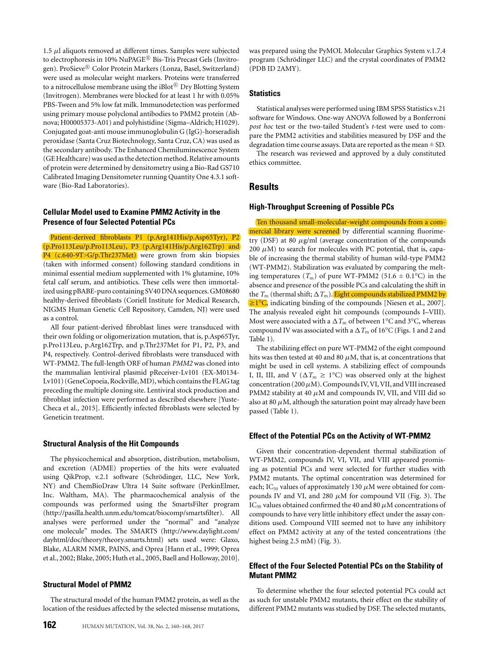1.5 μl aliquots removed at different times. Samples were subjected to electrophoresis in 10% NuPAGE<sup>®</sup> Bis-Tris Precast Gels (Invitrogen). ProSieve® Color Protein Markers (Lonza, Basel, Switzerland) were used as molecular weight markers. Proteins were transferred to a nitrocellulose membrane using the iBlot $\mathbb{B}$  Dry Blotting System (Invitrogen). Membranes were blocked for at least 1 hr with 0.05% PBS-Tween and 5% low fat milk. Immunodetection was performed using primary mouse polyclonal antibodies to PMM2 protein (Abnova; H00005373-A01) and polyhistidine (Sigma–Aldrich; H1029). Conjugated goat-anti mouse immunoglobulin G (IgG)-horseradish peroxidase (Santa Cruz Biotechnology, Santa Cruz, CA) was used as the secondary antibody. The Enhanced Chemiluminescence System (GE Healthcare) was used as the detection method. Relative amounts of protein were determined by densitometry using a Bio-Rad GS710 Calibrated Imaging Densitometer running Quantity One 4.3.1 software (Bio-Rad Laboratories).

# **Cellular Model used to Examine PMM2 Activity in the Presence of four Selected Potential PCs**

Patient-derived fibroblasts P1 (p.Arg141His/p.Asp65Tyr), P2 (p.Pro113Leu/p.Pro113Leu), P3 (p.Arg141His/p.Arg162Trp) and P4 (c.640-9T>G/p.Thr237Met) were grown from skin biopsies (taken with informed consent) following standard conditions in minimal essential medium supplemented with 1% glutamine, 10% fetal calf serum, and antibiotics. These cells were then immortalized using pBABE-puro containing SV40 DNA sequences. GM08680 healthy-derived fibroblasts (Coriell Institute for Medical Research, NIGMS Human Genetic Cell Repository, Camden, NJ) were used as a control.

All four patient-derived fibroblast lines were transduced with their own folding or oligomerization mutation, that is, p.Asp65Tyr, p.Pro113Leu, p.Arg162Trp, and p.Thr237Met for P1, P2, P3, and P4, respectively. Control-derived fibroblasts were transduced with WT-PMM2. The full-length ORF of human *PMM2* was cloned into the mammalian lentiviral plasmid pReceiver-Lv101 (EX-M0134- Lv101) (GeneCopoeia, Rockville,MD),which contains the FLAG tag preceding the multiple cloning site. Lentiviral stock production and fibroblast infection were performed as described elsewhere [Yuste-Checa et al., 2015]. Efficiently infected fibroblasts were selected by Geneticin treatment.

# **Structural Analysis of the Hit Compounds**

The physicochemical and absorption, distribution, metabolism, and excretion (ADME) properties of the hits were evaluated using QikProp, v.2.1 software (Schrödinger, LLC, New York, NY) and ChemBioDraw Ultra 14 Suite software (PerkinElmer, Inc. Waltham, MA). The pharmacochemical analysis of the compounds was performed using the SmartsFilter program [\(http://pasilla.health.unm.edu/tomcat/biocomp/smartsfilter\)](http://pasilla.health.unm.edu/tomcat/biocomp/smartsfilter). All analyses were performed under the "normal" and "analyze one molecule" modes. The SMARTS [\(http://www.daylight.com/](http://www.daylight.com/dayhtml/doc/theory/theory.smarts.html) [dayhtml/doc/theory/theory.smarts.html\)](http://www.daylight.com/dayhtml/doc/theory/theory.smarts.html) sets used were: Glaxo, Blake, ALARM NMR, PAINS, and Oprea [Hann et al., 1999; Oprea et al., 2002; Blake, 2005; Huth et al., 2005, Baell and Holloway, 2010].

## **Structural Model of PMM2**

The structural model of the human PMM2 protein, as well as the location of the residues affected by the selected missense mutations,

was prepared using the PyMOL Molecular Graphics System v.1.7.4 program (Schrödinger LLC) and the crystal coordinates of PMM2 (PDB ID 2AMY).

# **Statistics**

Statistical analyses were performed using IBM SPSS Statistics v.21 software for Windows. One-way ANOVA followed by a Bonferroni *post hoc* test or the two-tailed Student's *t*-test were used to compare the PMM2 activities and stabilities measured by DSF and the degradation time course assays. Data are reported as the mean  $\pm$  SD.

The research was reviewed and approved by a duly constituted ethics committee.

# **Results**

## **High-Throughput Screening of Possible PCs**

Ten thousand small-molecular-weight compounds from a commercial library were screened by differential scanning fluorimetry (DSF) at 80  $\mu$ g/ml (average concentration of the compounds 200  $\mu$ M) to search for molecules with PC potential, that is, capable of increasing the thermal stability of human wild-type PMM2 (WT-PMM2). Stabilization was evaluated by comparing the melting temperatures  $(T_m)$  of pure WT-PMM2 (51.6  $\pm$  0.1<sup>o</sup>C) in the absence and presence of the possible PCs and calculating the shift in the  $T_m$  (thermal shift;  $\Delta T_m$ ). Eight compounds stabilized PMM2 by ≥1°C, indicating binding of the compounds [Niesen et al., 2007]. The analysis revealed eight hit compounds (compounds I–VIII). Most were associated with a  $\Delta T_{\rm m}$  of between 1°C and 3°C, whereas compound IV was associated with a  $\Delta T_{\text{m}}$  of 16°C (Figs. 1 and 2 and Table 1).

The stabilizing effect on pure WT-PMM2 of the eight compound hits was then tested at 40 and 80  $\mu$ M, that is, at concentrations that might be used in cell systems. A stabilizing effect of compounds I, II, III, and V ( $\Delta T_{\text{m}} \ge 1^{\circ}\text{C}$ ) was observed only at the highest concentration (200  $\mu$ M). Compounds IV, VI, VII, and VIII increased PMM2 stability at 40  $\mu$ M and compounds IV, VII, and VIII did so also at 80  $\mu$ M, although the saturation point may already have been passed (Table 1).

### **Effect of the Potential PCs on the Activity of WT-PMM2**

Given their concentration-dependent thermal stabilization of WT-PMM2, compounds IV, VI, VII, and VIII appeared promising as potential PCs and were selected for further studies with PMM2 mutants. The optimal concentration was determined for each; IC<sub>50</sub> values of approximately 130  $\mu$ M were obtained for compounds IV and VI, and 280  $\mu$ M for compound VII (Fig. 3). The IC<sub>50</sub> values obtained confirmed the 40 and 80  $\mu$ M concentrations of compounds to have very little inhibitory effect under the assay conditions used. Compound VIII seemed not to have any inhibitory effect on PMM2 activity at any of the tested concentrations (the highest being 2.5 mM) (Fig. 3).

# **Effect of the Four Selected Potential PCs on the Stability of Mutant PMM2**

To determine whether the four selected potential PCs could act as such for unstable PMM2 mutants, their effect on the stability of different PMM2 mutants was studied by DSF. The selected mutants,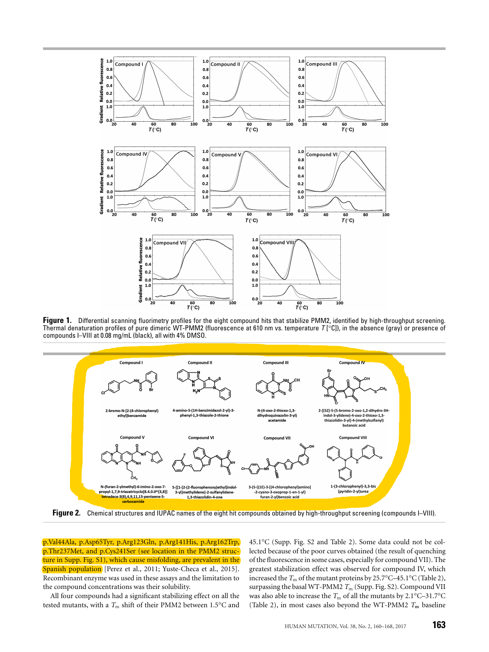

**Figure 1.** Differential scanning fluorimetry profiles for the eight compound hits that stabilize PMM2, identified by high-throughput screening. Thermal denaturation profiles of pure dimeric WT-PMM2 (fluorescence at 610 nm vs. temperature *T* [°C]), in the absence (gray) or presence of compounds I–VIII at 0.08 mg/mL (black), all with 4% DMSO.



**Figure 2.** Chemical structures and IUPAC names of the eight hit compounds obtained by high-throughput screening (compounds I–VIII).

p.Val44Ala, p.Asp65Tyr, p.Arg123Gln, p.Arg141His, p.Arg162Trp, p.Thr237Met, and p.Cys241Ser (see location in the PMM2 structure in Supp. Fig. S1), which cause misfolding, are prevalent in the Spanish population [Perez et al., 2011; Yuste-Checa et al., 2015]. Recombinant enzyme was used in these assays and the limitation to the compound concentrations was their solubility.

All four compounds had a significant stabilizing effect on all the tested mutants, with a  $T_{\rm m}$  shift of their PMM2 between 1.5 $^{\circ}$ C and 45.1°C (Supp. Fig. S2 and Table 2). Some data could not be collected because of the poor curves obtained (the result of quenching of the fluorescence in some cases, especially for compound VII). The greatest stabilization effect was observed for compound IV, which increased the  $T_m$  of the mutant proteins by 25.7°C–45.1°C (Table 2), surpassing the basal WT-PMM2  $T_m$  (Supp. Fig. S2). Compound VII was also able to increase the  $T_m$  of all the mutants by 2.1°C–31.7°C (Table 2), in most cases also beyond the WT-PMM2 *T***<sup>m</sup>** baseline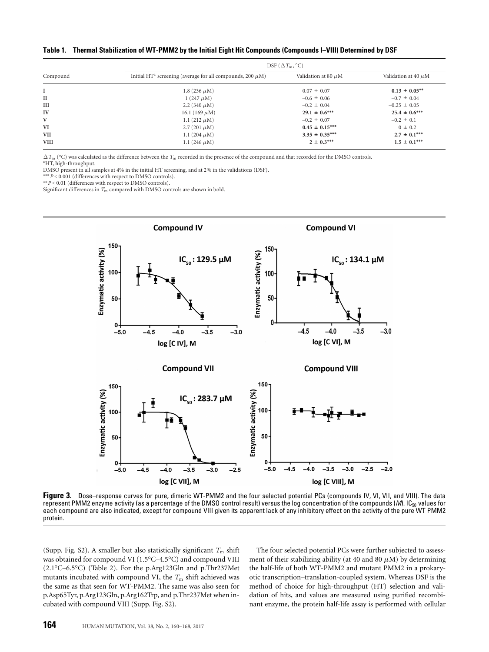**Table 1. Thermal Stabilization of WT-PMM2 by the Initial Eight Hit Compounds (Compounds I–VIII) Determined by DSF**

|             | DSF $(\Delta T_{\rm m}, {}^{\circ}C)$                                      |                          |                          |  |  |  |
|-------------|----------------------------------------------------------------------------|--------------------------|--------------------------|--|--|--|
| Compound    | Initial HT <sup>a</sup> screening (average for all compounds, 200 $\mu$ M) | Validation at 80 $\mu$ M | Validation at 40 $\mu$ M |  |  |  |
|             | 1.8 $(236 \mu M)$                                                          | $0.07 \pm 0.07$          | $0.13 \pm 0.05$ **       |  |  |  |
| II          | $1(247 \mu M)$                                                             | $-0.6 \pm 0.06$          | $-0.7 \pm 0.04$          |  |  |  |
| Ш           | 2.2 (340 $\mu$ M)                                                          | $-0.2 \pm 0.04$          | $-0.25 \pm 0.05$         |  |  |  |
| IV          | 16.1 (169 $\mu$ M)                                                         | $29.1 \pm 0.6***$        | $25.4 \pm 0.6***$        |  |  |  |
| V           | 1.1 $(212 \mu M)$                                                          | $-0.2 \pm 0.07$          | $-0.2 \pm 0.1$           |  |  |  |
| VI          | 2.7 (201 $\mu$ M)                                                          | $0.45 \pm 0.15***$       | $0 \pm 0.2$              |  |  |  |
| <b>VII</b>  | 1.1 $(204 \mu M)$                                                          | $3.35 \pm 0.35***$       | $2.7 \pm 0.1***$         |  |  |  |
| <b>VIII</b> | 1.1 $(246 \mu M)$                                                          | $2 \pm 0.3***$           | $1.5 \pm 0.1***$         |  |  |  |

 $\Delta$   $T_{\rm m}$  (°C) was calculated as the difference between the  $T_{\rm m}$  recorded in the presence of the compound and that recorded for the DMSO controls. aHT, high-throughput.

DMSO present in all samples at 4% in the initial HT screening, and at 2% in the validations (DSF).

∗∗∗*P* < 0.001 (differences with respect to DMSO controls).

∗∗*P* < 0.01 (differences with respect to DMSO controls). Significant differences in  $T_m$  compared with DMSO controls are shown in bold.



Figure 3. Dose–response curves for pure, dimeric WT-PMM2 and the four selected potential PCs (compounds IV, VI, VII, and VIII). The data represent PMM2 enzyme activity (as a percentage of the DMSO control result) versus the log concentration of the compounds (*M*). IC<sub>50</sub> values for each compound are also indicated, except for compound VIII given its apparent lack of any inhibitory effect on the activity of the pure WT PMM2 protein.

(Supp. Fig. S2). A smaller but also statistically significant  $T<sub>m</sub>$  shift was obtained for compound VI (1.5°C–4.5°C) and compound VIII (2.1°C–6.5°C) (Table 2). For the p.Arg123Gln and p.Thr237Met mutants incubated with compound VI, the  $T<sub>m</sub>$  shift achieved was the same as that seen for WT-PMM2. The same was also seen for p.Asp65Tyr, p.Arg123Gln, p.Arg162Trp, and p.Thr237Met when incubated with compound VIII (Supp. Fig. S2).

The four selected potential PCs were further subjected to assessment of their stabilizing ability (at 40 and 80  $\mu$ M) by determining the half-life of both WT-PMM2 and mutant PMM2 in a prokaryotic transcription–translation-coupled system. Whereas DSF is the method of choice for high-throughput (HT) selection and validation of hits, and values are measured using purified recombinant enzyme, the protein half-life assay is performed with cellular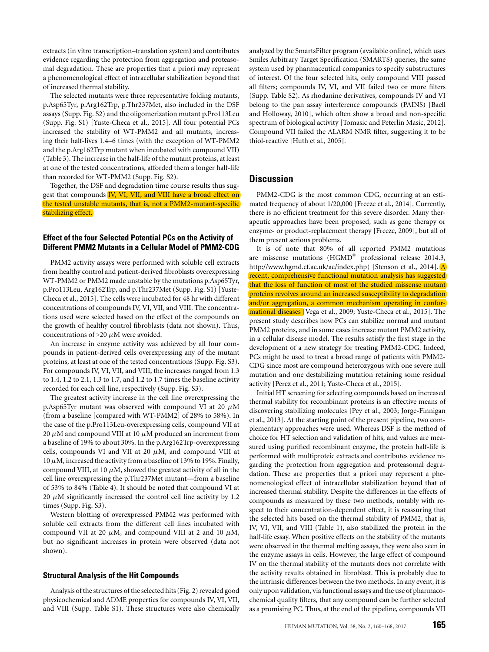extracts (in vitro transcription–translation system) and contributes evidence regarding the protection from aggregation and proteasomal degradation. These are properties that a priori may represent a phenomenological effect of intracellular stabilization beyond that of increased thermal stability.

The selected mutants were three representative folding mutants, p.Asp65Tyr, p.Arg162Trp, p.Thr237Met, also included in the DSF assays (Supp. Fig. S2) and the oligomerization mutant p.Pro113Leu (Supp. Fig. S1) [Yuste-Checa et al., 2015]. All four potential PCs increased the stability of WT-PMM2 and all mutants, increasing their half-lives 1.4–6 times (with the exception of WT-PMM2 and the p.Arg162Trp mutant when incubated with compound VII) (Table 3). The increase in the half-life of the mutant proteins, at least at one of the tested concentrations, afforded them a longer half-life than recorded for WT-PMM2 (Supp. Fig. S2).

Together, the DSF and degradation time course results thus suggest that compounds IV, VI, VII, and VIII have a broad effect on the tested unstable mutants, that is, not a PMM2-mutant-specific stabilizing effect.

# **Effect of the four Selected Potential PCs on the Activity of Different PMM2 Mutants in a Cellular Model of PMM2-CDG**

PMM2 activity assays were performed with soluble cell extracts from healthy control and patient-derived fibroblasts overexpressing WT-PMM2 or PMM2 made unstable by the mutations p.Asp65Tyr, p.Pro113Leu, Arg162Trp, and p.Thr237Met (Supp. Fig. S1) [Yuste-Checa et al., 2015]. The cells were incubated for 48 hr with different concentrations of compounds IV, VI, VII, and VIII. The concentrations used were selected based on the effect of the compounds on the growth of healthy control fibroblasts (data not shown). Thus, concentrations of  $>20 \mu$ M were avoided.

An increase in enzyme activity was achieved by all four compounds in patient-derived cells overexpressing any of the mutant proteins, at least at one of the tested concentrations (Supp. Fig. S3). For compounds IV, VI, VII, and VIII, the increases ranged from 1.3 to 1.4, 1.2 to 2.1, 1.3 to 1.7, and 1.2 to 1.7 times the baseline activity recorded for each cell line, respectively (Supp. Fig. S3).

The greatest activity increase in the cell line overexpressing the p.Asp65Tyr mutant was observed with compound VI at 20  $\mu$ M (from a baseline [compared with WT-PMM2] of 28% to 58%). In the case of the p.Pro113Leu-overexpressing cells, compound VII at 20  $\mu$ M and compound VIII at 10  $\mu$ M produced an increment from a baseline of 19% to about 30%. In the p.Arg162Trp-overexpressing cells, compounds VI and VII at 20  $\mu$ M, and compound VIII at  $10 \mu$ M, increased the activity from a baseline of 13% to 19%. Finally, compound VIII, at 10  $\mu$ M, showed the greatest activity of all in the cell line overexpressing the p.Thr237Met mutant—from a baseline of 53% to 84% (Table 4). It should be noted that compound VI at 20  $\mu$ M significantly increased the control cell line activity by 1.2 times (Supp. Fig. S3).

Western blotting of overexpressed PMM2 was performed with soluble cell extracts from the different cell lines incubated with compound VII at 20  $\mu$ M, and compound VIII at 2 and 10  $\mu$ M, but no significant increases in protein were observed (data not shown).

#### **Structural Analysis of the Hit Compounds**

Analysis of the structures of the selected hits (Fig. 2) revealed good physicochemical and ADME properties for compounds IV, VI, VII, and VIII (Supp. Table S1). These structures were also chemically analyzed by the SmartsFilter program (available online), which uses Smiles Arbitrary Target Specification (SMARTS) queries, the same system used by pharmaceutical companies to specify substructures of interest. Of the four selected hits, only compound VIII passed all filters; compounds IV, VI, and VII failed two or more filters (Supp. Table S2). As rhodanine derivatives, compounds IV and VI belong to the pan assay interference compounds (PAINS) [Baell and Holloway, 2010], which often show a broad and non-specific spectrum of biological activity [Tomasic and Peterlin Masic, 2012]. Compound VII failed the ALARM NMR filter, suggesting it to be thiol-reactive [Huth et al., 2005].

# **Discussion**

PMM2-CDG is the most common CDG, occurring at an estimated frequency of about 1/20,000 [Freeze et al., 2014]. Currently, there is no efficient treatment for this severe disorder. Many therapeutic approaches have been proposed, such as gene therapy or enzyme- or product-replacement therapy [Freeze, 2009], but all of them present serious problems.

It is of note that 80% of all reported PMM2 mutations are missense mutations (HGMD® professional release 2014.3, [http://www.hgmd.cf.ac.uk/ac/index.php\)](http://www.hgmd.cf.ac.uk/ac/index.php) [Stenson et al., 2014]. A recent, comprehensive functional mutation analysis has suggested that the loss of function of most of the studied missense mutant proteins revolves around an increased susceptibility to degradation and/or aggregation, a common mechanism operating in conformational diseases [Vega et al., 2009; Yuste-Checa et al., 2015]. The present study describes how PCs can stabilize normal and mutant PMM2 proteins, and in some cases increase mutant PMM2 activity, in a cellular disease model. The results satisfy the first stage in the development of a new strategy for treating PMM2-CDG. Indeed, PCs might be used to treat a broad range of patients with PMM2- CDG since most are compound heterozygous with one severe null mutation and one destabilizing mutation retaining some residual activity [Perez et al., 2011; Yuste-Checa et al., 2015].

Initial HT screening for selecting compounds based on increased thermal stability for recombinant proteins is an effective means of discovering stabilizing molecules [Pey et al., 2003; Jorge-Finnigan et al., 2013]. At the starting point of the present pipeline, two complementary approaches were used. Whereas DSF is the method of choice for HT selection and validation of hits, and values are measured using purified recombinant enzyme, the protein half-life is performed with multiproteic extracts and contributes evidence regarding the protection from aggregation and proteasomal degradation. These are properties that a priori may represent a phenomenological effect of intracellular stabilization beyond that of increased thermal stability. Despite the differences in the effects of compounds as measured by these two methods, notably with respect to their concentration-dependent effect, it is reassuring that the selected hits based on the thermal stability of PMM2, that is, IV, VI, VII, and VIII (Table 1), also stabilized the protein in the half-life essay. When positive effects on the stability of the mutants were observed in the thermal melting assays, they were also seen in the enzyme assays in cells. However, the large effect of compound IV on the thermal stability of the mutants does not correlate with the activity results obtained in fibroblast. This is probably due to the intrinsic differences between the two methods. In any event, it is only upon validation, via functional assays and the use of pharmacochemical quality filters, that any compound can be further selected as a promising PC. Thus, at the end of the pipeline, compounds VII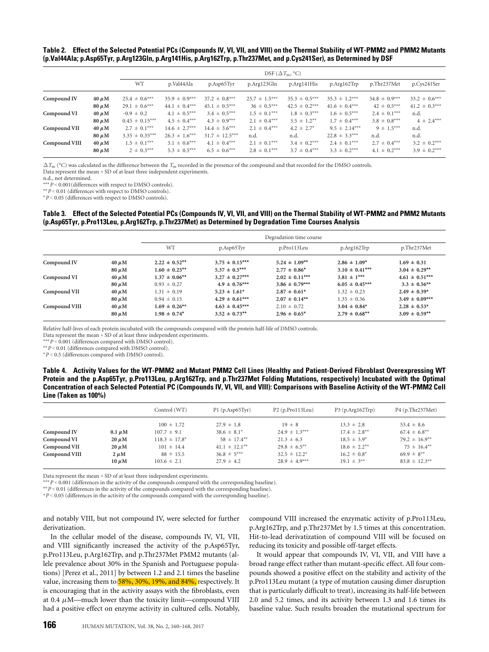**Table 2. Effect of the Selected Potential PCs (Compounds IV, VI, VII, and VIII) on the Thermal Stability of WT-PMM2 and PMM2 Mutants (p.Val44Ala; p.Asp65Tyr, p.Arg123Gln, p.Arg141His, p.Arg162Trp, p.Thr237Met, and p.Cys241Ser), as Determined by DSF**

|               |            | DSF $(\Delta T_m, {}^{\circ}C)$ |                   |                    |                   |                   |                   |                   |                   |
|---------------|------------|---------------------------------|-------------------|--------------------|-------------------|-------------------|-------------------|-------------------|-------------------|
|               |            | <b>WT</b>                       | p.Val44Ala        | p.Asp65Tyr         | p.Arg123Gln       | p.Arg141His       | p.Arg162Trp       | p.Thr237Met       | p.Cys241Ser       |
| Compound IV   | $40 \mu M$ | $25.4 \pm 0.6***$               | $35.9 \pm 0.9***$ | $37.2 \pm 0.8***$  | $25.7 \pm 1.5***$ | $35.3 \pm 0.5***$ | $35.3 \pm 1.2***$ | $34.8 \pm 0.9***$ | $33.2 \pm 0.6***$ |
|               | $80 \mu M$ | $29.1 \pm 0.6***$               | $44.1 \pm 0.4***$ | $45.1 \pm 0.5***$  | $36 \pm 0.5***$   | $42.5 \pm 0.2***$ | $41.6 \pm 0.4***$ | $42 \pm 0.5***$   | $41.2 \pm 0.3***$ |
| Compound VI   | $40 \mu M$ | $-0.9 \pm 0.2$                  | $4.1 \pm 0.5***$  | $3.4 \pm 0.5***$   | $1.5 \pm 0.1***$  | $1.8 \pm 0.3***$  | $1.6 \pm 0.5***$  | $2.4 \pm 0.1***$  | n.d.              |
|               | $80 \mu M$ | $0.45 \pm 0.15***$              | $4.5 \pm 0.4***$  | $4.3 \pm 0.9***$   | $2.1 \pm 0.4***$  | $3.5 \pm 1.2$ **  | $1.7 \pm 0.4***$  | $3.8 \pm 0.8***$  | $4 \pm 2.4***$    |
| Compound VII  | $40 \mu M$ | $2.7 \pm 0.1***$                | $14.6 \pm 2.7***$ | $14.4 \pm 3.6***$  | $2.1 \pm 0.4***$  | $4.2 \pm 2.7^*$   | $9.5 \pm 2.14***$ | $9 \pm 1.5***$    | n.d.              |
|               | $80 \mu M$ | $3.35 \pm 0.35***$              | $26.3 \pm 1.6***$ | $31.7 \pm 12.5***$ | n.d.              | n.d.              | $22.8 \pm 3.3***$ | n.d.              | n.d.              |
| Compound VIII | $40 \mu M$ | $1.5 \pm 0.1***$                | $3.1 \pm 0.6***$  | $4.1 \pm 0.4***$   | $2.1 \pm 0.1***$  | $3.4 \pm 0.2***$  | $2.4 \pm 0.1***$  | $2.7 \pm 0.4***$  | $3.2 \pm 0.2$ *** |
|               | $80 \mu M$ | $2 \pm 0.3***$                  | $5.3 \pm 0.5***$  | $6.5 \pm 0.6***$   | $2.8 \pm 0.1***$  | $3.7 \pm 0.4***$  | $3.3 \pm 0.2***$  | $4.1 \pm 0.2***$  | $3.9 \pm 0.2***$  |

 $\Delta T_{\text{m}}$  (°C) was calculated as the difference between the *T*<sub>m</sub> recorded in the presence of the compound and that recorded for the DMSO controls. Data represent the mean + SD of at least three independent experiments.

n.d., not determined.

∗∗∗*P* < 0.001(differences with respect to DMSO controls).

∗∗*P* < 0.01 (differences with respect to DMSO controls).

∗*P* < 0.05 (differences with respect to DMSO controls).

### **Table 3. Effect of the Selected Potential PCs (Compounds IV, VI, VII, and VIII) on the Thermal Stability of WT-PMM2 and PMM2 Mutants (p.Asp65Tyr, p.Pro113Leu, p.Arg162Trp, p.Thr237Met) as Determined by Degradation Time Courses Analysis**

|               |            | Degradation time course |                    |                    |                    |                    |  |
|---------------|------------|-------------------------|--------------------|--------------------|--------------------|--------------------|--|
|               |            | WT                      | p.Asp65Tyr         | p.Pro113Leu        | p.Arg162Trp        | p.Thr237Met        |  |
| Compound IV   | $40 \mu M$ | $2.22 \pm 0.52$ **      | $3.75 \pm 0.15***$ | $5.24 \pm 1.09$ ** | $2.86 \pm 1.09^*$  | $1.69 \pm 0.31$    |  |
|               | $80 \mu M$ | $1.60 \pm 0.25$ **      | $5.37 \pm 0.5***$  | $2.77 \pm 0.86^*$  | $3.10 \pm 0.41***$ | $3.04 \pm 0.29$ ** |  |
| Compound VI   | $40 \mu M$ | $1.37 \pm 0.06$ **      | $3.27 \pm 0.27***$ | $2.02 \pm 0.11***$ | $3.81 \pm 1***$    | $4.61 \pm 0.51***$ |  |
|               | $80 \mu M$ | $0.93 \pm 0.27$         | $4.9 \pm 0.76***$  | $3.86 \pm 0.79***$ | $6.05 \pm 0.45***$ | $3.3 \pm 0.56**$   |  |
| Compound VII  | $40 \mu M$ | $1.31 \pm 0.19$         | $5.23 \pm 1.61^*$  | $2.87 \pm 0.61^*$  | $1.32 \pm 0.23$    | $2.49 \pm 0.39^*$  |  |
|               | $80 \mu M$ | $0.94 \pm 0.15$         | $4.29 \pm 0.61***$ | $2.07 \pm 0.14**$  | $1.35 \pm 0.36$    | $3.49 \pm 0.09***$ |  |
| Compound VIII | $40 \mu M$ | $1.69 \pm 0.26$ **      | $4.63 \pm 0.45***$ | $2.10 \pm 0.72$    | $3.04 \pm 0.84^*$  | $2.28 \pm 0.53^*$  |  |
|               | $80 \mu M$ | $1.98 \pm 0.74^*$       | $3.52 \pm 0.73***$ | $2.96 \pm 0.65^*$  | $2.79 \pm 0.68$ ** | $3.09 \pm 0.59$ ** |  |

Relative half-lives of each protein incubated with the compounds compared with the protein half-life of DMSO controls.

Data represent the mean + SD of at least three independent experiments.

∗∗∗*P* < 0.001 (differences compared with DMSO control).

∗∗*P* < 0.01 (differences compared with DMSO control).

∗*P* < 0.5 (differences compared with DMSO control).

**Table 4. Activity Values for the WT-PMM2 and Mutant PMM2 Cell Lines (Healthy and Patient-Derived Fibroblast Overexpressing WT Protein and the p.Asp65Tyr, p.Pro113Leu, p.Arg162Trp, and p.Thr237Met Folding Mutations, respectively) Incubated with the Optimal Concentration of each Selected Potential PC (Compounds IV, VI, VII, and VIII): Comparisons with Baseline Activity of the WT-PMM2 Cell Line (Taken as 100%)**

|               |             | Control (WT)       | P1(p.Asp65Tyr)     | P2(p.Prol13Leu)     | $P3(p, Arg162$ Trp $)$ | P4(p.Thr237Met)               |
|---------------|-------------|--------------------|--------------------|---------------------|------------------------|-------------------------------|
|               |             | $100 \pm 1.72$     | $27.9 \pm 1.8$     | $19 \pm 8$          | $13.3 \pm 2.8$         | $53.4 \pm 8.6$                |
| Compound IV   | $0.1 \mu M$ | $107.7 \pm 9.1$    | $38.6 \pm 8.1^*$   | $24.9 \pm 1.3***$   | $17.4 \pm 2.8$ **      | $67.4 \pm 6.8***$             |
| Compound VI   | $20 \mu M$  | $118.3 \pm 17.8^*$ | $58 \pm 17.4***$   | $21.3 \pm 6.3$      | $18.5 \pm 3.9^*$       | $79.2 \pm 16.9**$             |
| Compound VII  | $20 \mu M$  | $101 \pm 14.4$     | $41.1 \pm 12.1***$ | $29.8 \pm 6.5^{**}$ | $18.6 \pm 2.2$ **      | $75 \pm 16.4**$               |
| Compound VIII | $2 \mu M$   | $88 \pm 15.5$      | $36.8 \pm 5***$    | $32.5 \pm 12.2^*$   | $16.2 \pm 0.8^*$       | $69.9 \pm 8^{**}$             |
|               | $10 \mu M$  | $103.6 \pm 2.1$    | $27.9 \pm 4.2$     | $28.9 \pm 4.9***$   | $19.1 \pm 3^{**}$      | $83.8 \pm 12.3$ <sup>**</sup> |
|               |             |                    |                    |                     |                        |                               |

Data represent the mean + SD of at least three independent experiments.

∗∗∗*P* < 0.001 (differences in the activity of the compounds compared with the corresponding baseline).

∗∗*P* < 0.01 (differences in the activity of the compounds compared with the corresponding baseline).

∗*P* < 0.05 (differences in the activity of the compounds compared with the corresponding baseline).

and notably VIII, but not compound IV, were selected for further derivatization.

In the cellular model of the disease, compounds IV, VI, VII, and VIII significantly increased the activity of the p.Asp65Tyr, p.Pro113Leu, p.Arg162Trp, and p.Thr237Met PMM2 mutants (allele prevalence about 30% in the Spanish and Portuguese populations) [Perez et al., 2011] by between 1.2 and 2.1 times the baseline value, increasing them to 58%, 30%, 19%, and 84%, respectively. It is encouraging that in the activity assays with the fibroblasts, even at 0.4  $\mu$ M—much lower than the toxicity limit—compound VIII had a positive effect on enzyme activity in cultured cells. Notably,

compound VIII increased the enzymatic activity of p.Pro113Leu, p.Arg162Trp, and p.Thr237Met by 1.5 times at this concentration. Hit-to-lead derivatization of compound VIII will be focused on reducing its toxicity and possible off-target effects.

It would appear that compounds IV, VI, VII, and VIII have a broad range effect rather than mutant-specific effect. All four compounds showed a positive effect on the stability and activity of the p.Pro113Leu mutant (a type of mutation causing dimer disruption that is particularly difficult to treat), increasing its half-life between 2.0 and 5.2 times, and its activity between 1.3 and 1.6 times its baseline value. Such results broaden the mutational spectrum for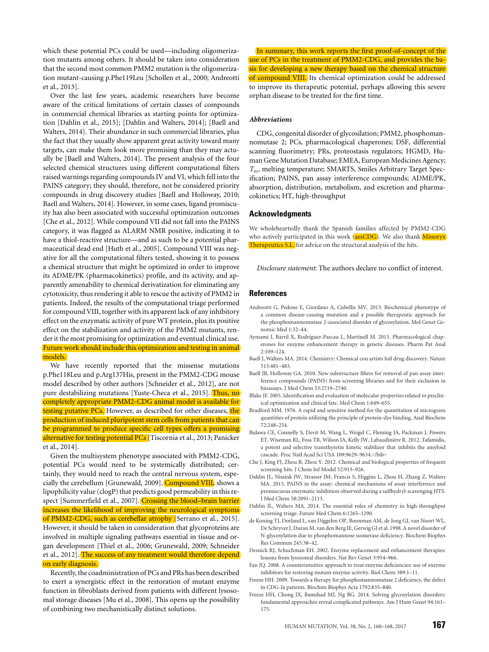which these potential PCs could be used—including oligomerization mutants among others. It should be taken into consideration that the second most common PMM2 mutation is the oligomerization mutant-causing p.Phe119Leu [Schollen et al., 2000; Andreotti et al., 2013].

Over the last few years, academic researchers have become aware of the critical limitations of certain classes of compounds in commercial chemical libraries as starting points for optimization [Dahlin et al., 2015]; [Dahlin and Walters, 2014]; [Baell and Walters, 2014]. Their abundance in such commercial libraries, plus the fact that they usually show apparent great activity toward many targets, can make them look more promising than they may actually be [Baell and Walters, 2014]. The present analysis of the four selected chemical structures using different computational filters raised warnings regarding compounds IV and VI, which fell into the PAINS category; they should, therefore, not be considered priority compounds in drug discovery studies [Baell and Holloway, 2010; Baell and Walters, 2014]. However, in some cases, ligand promiscuity has also been associated with successful optimization outcomes [Che et al., 2012]. While compound VII did not fall into the PAINS category, it was flagged as ALARM NMR positive, indicating it to have a thiol-reactive structure—and as such to be a potential pharmaceutical dead end [Huth et al., 2005]. Compound VIII was negative for all the computational filters tested, showing it to possess a chemical structure that might be optimized in order to improve its ADME/PK (pharmacokinetics) profile, and its activity, and apparently amenability to chemical derivatization for eliminating any cytotoxicity, thus rendering it able to rescue the activity of PMM2 in patients. Indeed, the results of the computational triage performed for compound VIII, together with its apparent lack of any inhibitory effect on the enzymatic activity of pure WT protein, plus its positive effect on the stabilization and activity of the PMM2 mutants, render it the most promising for optimization and eventual clinical use. Future work should include this optimization and testing in animal models.

We have recently reported that the missense mutations p.Phe118Leu and p.Arg137His, present in the PMM2-CDG mouse model described by other authors [Schneider et al., 2012], are not pure destabilizing mutations [Yuste-Checa et al., 2015]. Thus, no completely appropriate PMM2-CDG animal model is available for testing putative PCs. However, as described for other diseases, the production of induced pluripotent stem cells from patients that can be programmed to produce specific cell types offers a promising alternative for testing potential PCs [Tiscornia et al., 2013; Panicker et al., 2014].

Given the multisystem phenotype associated with PMM2-CDG, potential PCs would need to be systemically distributed; certainly, they would need to reach the central nervous system, especially the cerebellum [Grunewald, 2009]. Compound VIII, shows a lipophilicity value (clogP) that predicts good permeability in this respect [Summerfield et al., 2007]. Crossing the blood-brain barrier increases the likelihood of improving the neurological symptoms of PMM2-CDG, such as cerebellar atrophy [Serrano et al., 2015]. However, it should be taken in consideration that glycoproteins are involved in multiple signaling pathways essential in tissue and organ development [Thiel et al., 2006; Grunewald, 2009; Schneider et al., 2012]. The success of any treatment would therefore depend on early diagnosis.

Recently, the coadministration of PCs and PRs has been described to exert a synergistic effect in the restoration of mutant enzyme function in fibroblasts derived from patients with different lysosomal storage diseases [Mu et al., 2008]. This opens up the possibility of combining two mechanistically distinct solutions.

In summary, this work reports the first proof-of-concept of the use of PCs in the treatment of PMM2-CDG, and provides the basis for developing a new therapy based on the chemical structure of compound VIII. Its chemical optimization could be addressed to improve its therapeutic potential, perhaps allowing this severe orphan disease to be treated for the first time.

## *Abbreviations*

CDG, congenital disorder of glycosilation; PMM2, phosphomannomutase 2; PCs, pharmacological chaperones; DSF, differential scanning fluorimetry; PRs, proteostasis regulators; HGMD, Human Gene Mutation Database; EMEA, European Medicines Agency; *T*m, melting temperature; SMARTS, Smiles Arbitrary Target Specification; PAINS, pan assay interference compounds; ADME/PK, absorption, distribution, metabolism, and excretion and pharmacokinetics; HT, high-throughput

#### **Acknowledgments**

We wholeheartedly thank the Spanish families affected by PMM2-CDG who actively participated in this work (aesCDG). We also thank Minoryx Therapeutics S.L. for advice on the structural analysis of the hits.

*Disclosure statement*: The authors declare no conflict of interest.

### **References**

- Andreotti G, Pedone E, Giordano A, Cubellis MV. 2013. Biochemical phenotype of a common disease-causing mutation and a possible therapeutic approach for the phosphomannomutase 2-associated disorder of glycosylation. Mol Genet Genomic Med 1:32–44.
- Aymami J, Barril X, Rodriguez-Pascau L, Martinell M. 2013. Pharmacological chaperones for enzyme enhancement therapy in genetic diseases. Pharm Pat Anal 2:109–124.
- Baell J, Walters MA. 2014. Chemistry: Chemical con artists foil drug discovery. Nature 513:481–483.
- Baell JB, Holloway GA. 2010. New substructure filters for removal of pan assay interference compounds (PAINS) from screening libraries and for their exclusion in bioassays. J Med Chem 53:2719–2740.
- Blake JF. 2005. Identification and evaluation of molecular properties related to preclinical optimization and clinical fate. Med Chem 1:649–655.
- Bradford MM. 1976. A rapid and sensitive method for the quantitation of microgram quantities of protein utilizing the principle of protein-dye binding. Anal Biochem 72:248–254.
- Bulawa CE, Connelly S, Devit M, Wang L, Weigel C, Fleming JA, Packman J, Powers ET, Wiseman RL, Foss TR, Wilson IA, Kelly JW, Labaudiniere R. 2012. Tafamidis, ` a potent and selective transthyretin kinetic stabilizer that inhibits the amyloid cascade. Proc Natl Acad Sci USA 109:9629-9634.</br/>/bib>
- Che J, King FJ, Zhou B, Zhou Y. 2012. Chemical and biological properties of frequent screening hits. J Chem Inf Model 52:913–926.
- Dahlin JL, Nissink JW, Strasser JM, Francis S, Higgins L, Zhou H, Zhang Z, Walters MA. 2015. PAINS in the assay: chemical mechanisms of assay interference and promiscuous enzymatic inhibition observed during a sulfhydryl-scavenging HTS. J Med Chem 58:2091–2113.
- Dahlin JL, Walters MA. 2014. The essential roles of chemistry in high-throughput screening triage. Future Med Chem 6:1265–1290.
- de Koning TJ, Dorland L, van Diggelen OP, Boonman AM, de Jong GJ, van Noort WL, De Schryver J, Duran M, van den Berg IE, Gerwig GJ et al. 1998. A novel disorder of N-glycosylation due to phosphomannose isomerase deficiency. Biochem Biophys Res Commun 245:38–42.
- Desnick RJ, Schuchman EH. 2002. Enzyme replacement and enhancement therapies: lessons from lysosomal disorders. Nat Rev Genet 3:954–966.
- Fan JQ. 2008. A counterintuitive approach to treat enzyme deficiencies: use of enzyme inhibitors for restoring mutant enzyme activity. Biol Chem 389:1–11.
- Freeze HH. 2009. Towards a therapy for phosphomannomutase 2 deficiency, the defect in CDG-Ia patients. Biochim Biophys Acta 1792:835–840.
- Freeze HH, Chong JX, Bamshad MJ, Ng BG. 2014. Solving glycosylation disorders: fundamental approaches reveal complicated pathways. Am J Hum Genet 94:161– 175.